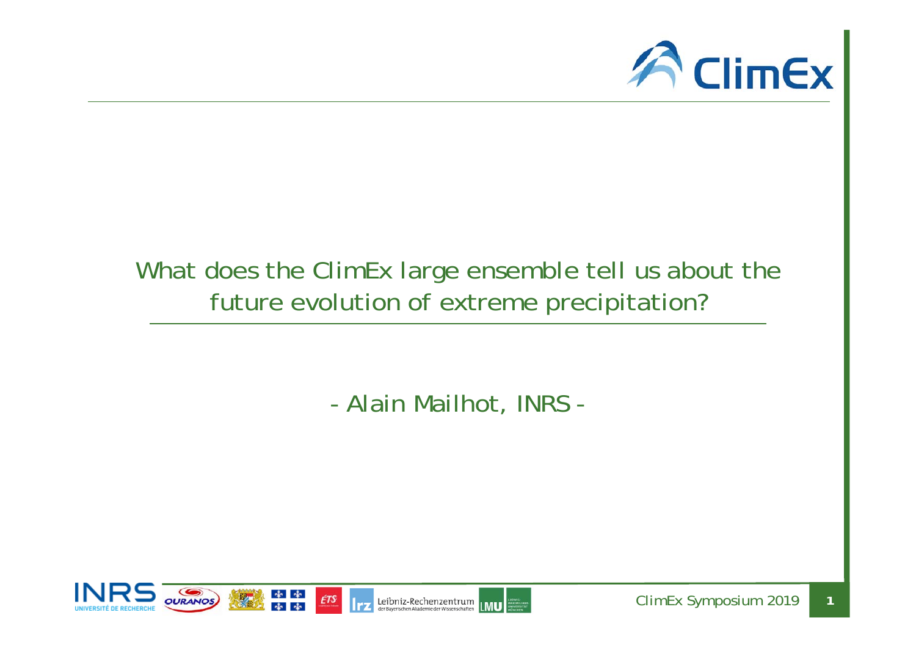

## What does the ClimEx large ensemble tell us about the future evolution of extreme precipitation?

- Alain Mailhot, INRS -

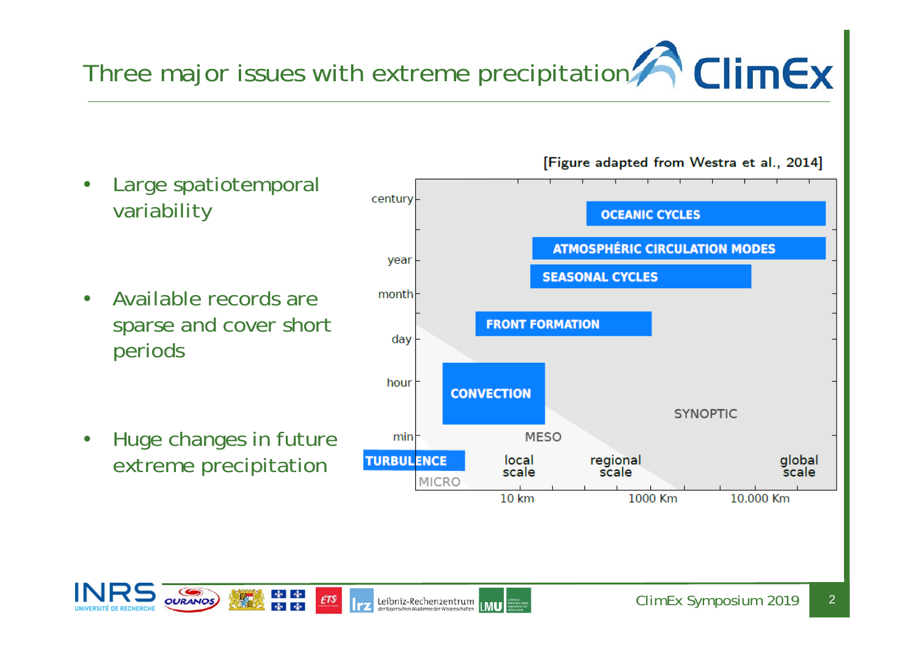# Three major issues with extreme precipitation  $\bigcap_{i=1}^{\infty}$  ClimEx

- • Large spatiotemporal variability
- $\bullet$  Available records are sparse and cover short periods
- $\bullet$  Huge changes in future extreme precipitation







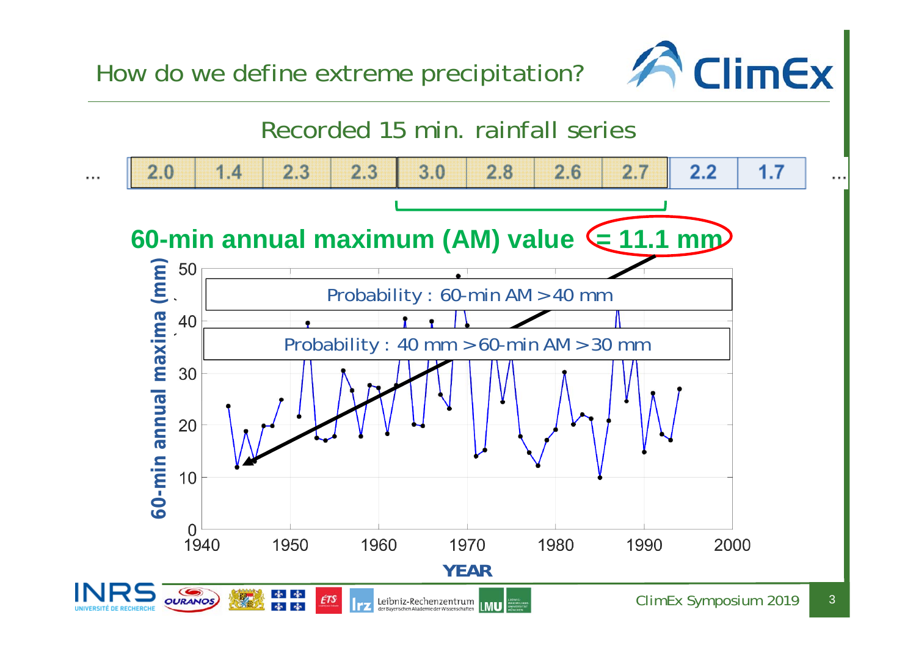How do we define extreme precipitation?



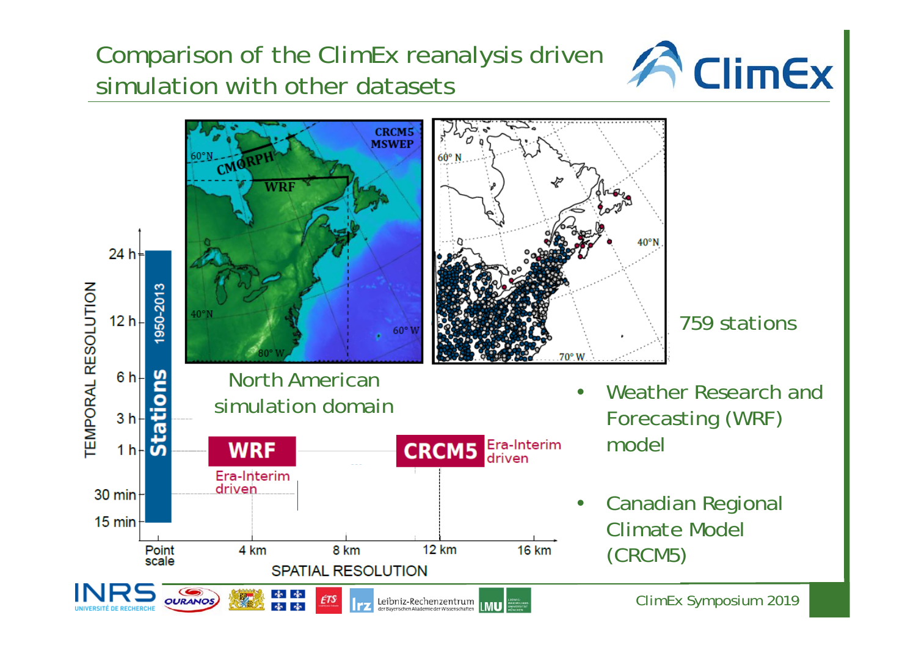## Comparison of the ClimEx reanalysis driven simulation with other datasets

**CRCMS**<br>MSWEP



60° N CMOR **WRF**  $40^{\circ}$ N 24 h<sup> $\pm$ </sup> **TEMPORAL RESOLUTION** 950-2013  $40°N$  $12 h$ 759 stations  $60°V$ 70° W  $6 h$ North American Weather Research and •simulation domain Forecasting (WRF)  $3<sub>h</sub>$ model**CRCM5 Era-Interim**  $1 h \cdot \overline{0}$ **WRF** Era-Interim driven 30 min $H$  Canadian Regional  $\bullet$ 15 min Climate Model 4 km 8 km **12 km 16 km** Point (CRCM5) scale **SPATIAL RESOLUTION** ClimEx Symposium 2019 **OURANOS** Leibniz-Rechenzentrum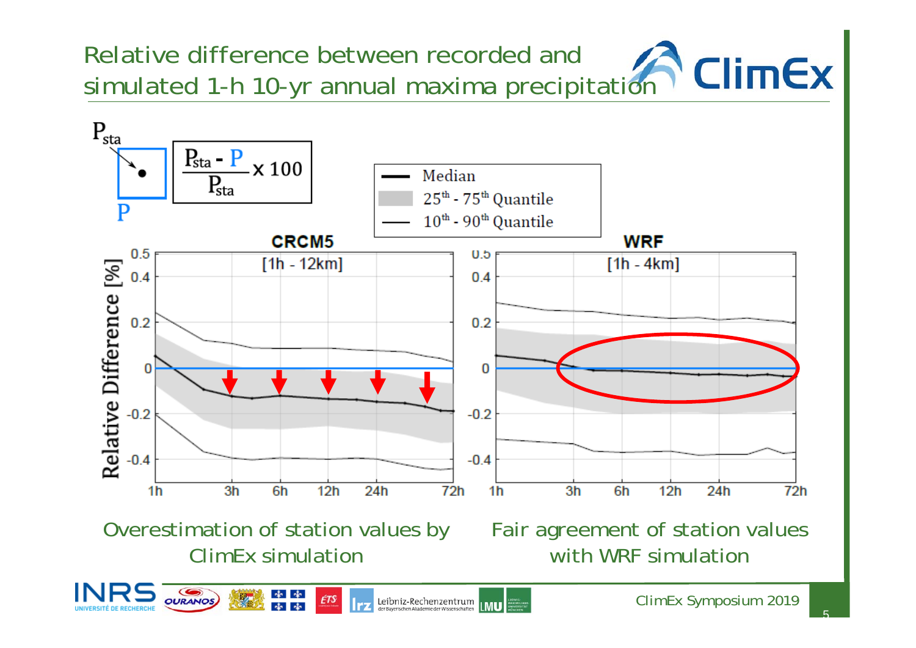Relative difference between recorded and **ClimEx** simulated 1-h 10-yr annual maxima precipitation



Overestimation of station values by ClimEx simulation

南南

Fair agreement of station values with WRF simulation

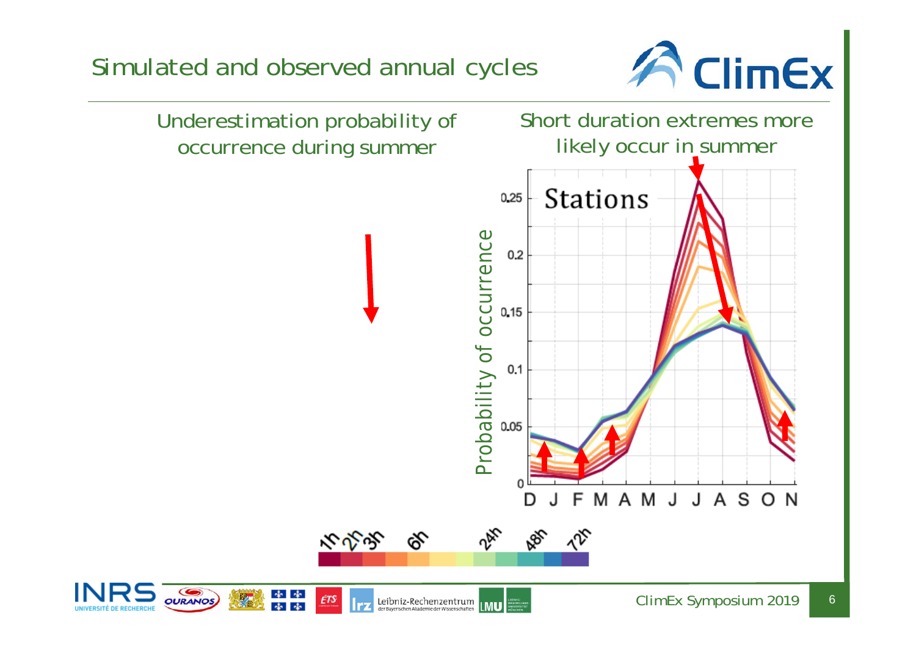

Leibniz-Rechenzentrum

**IMU**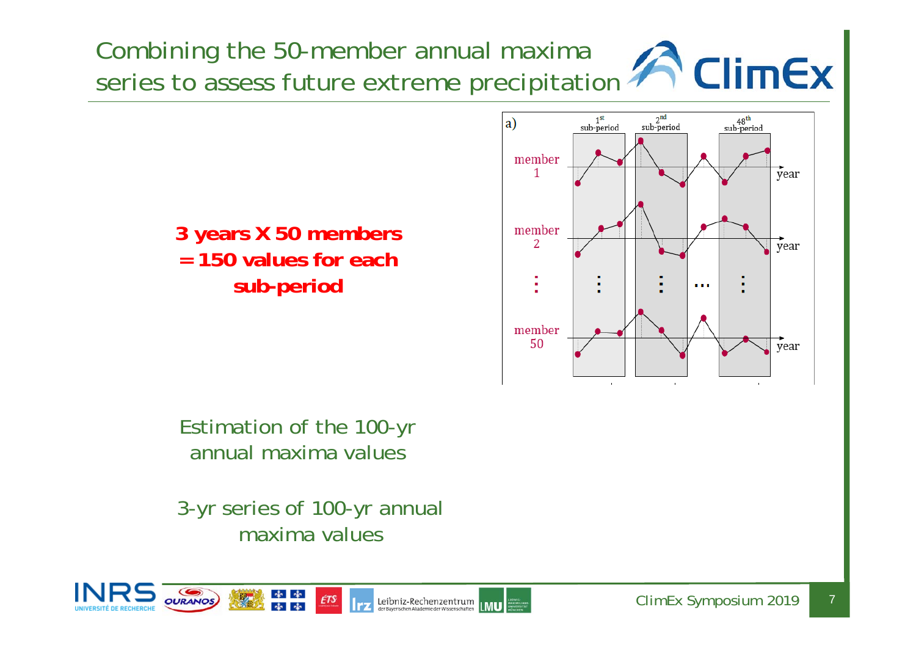Combining the 50-member annual maxima series to assess future extreme precipitation **ACIIMEX** 



Estimation of the 100-yr annual maxima values

3-yr series of 100-yr annual maxima values

南南



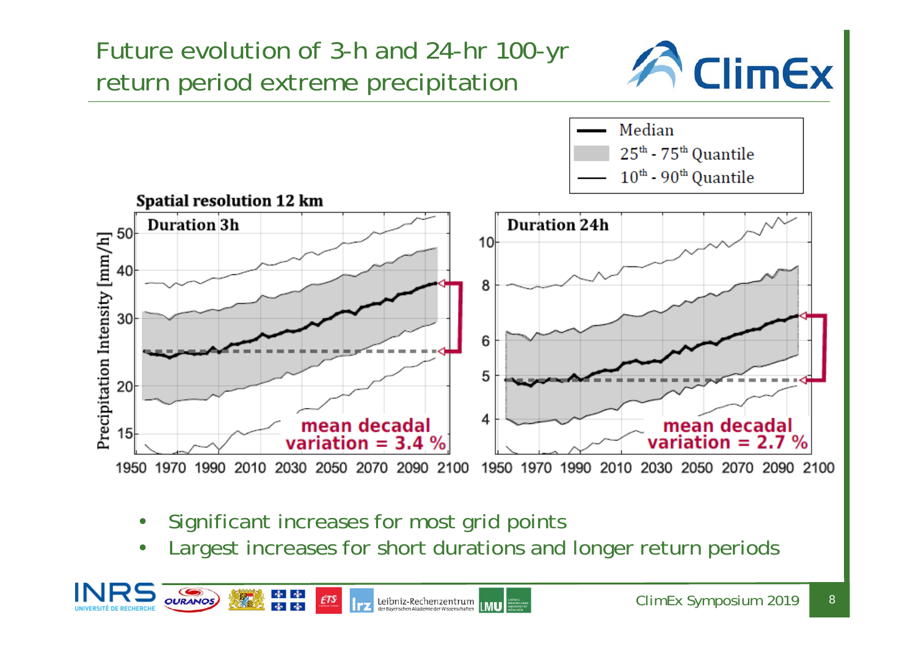Future evolution of 3-h and 24-hr 100-yr return period extreme precipitation





- •Significant increases for most grid points
- •Largest increases for short durations and longer return periods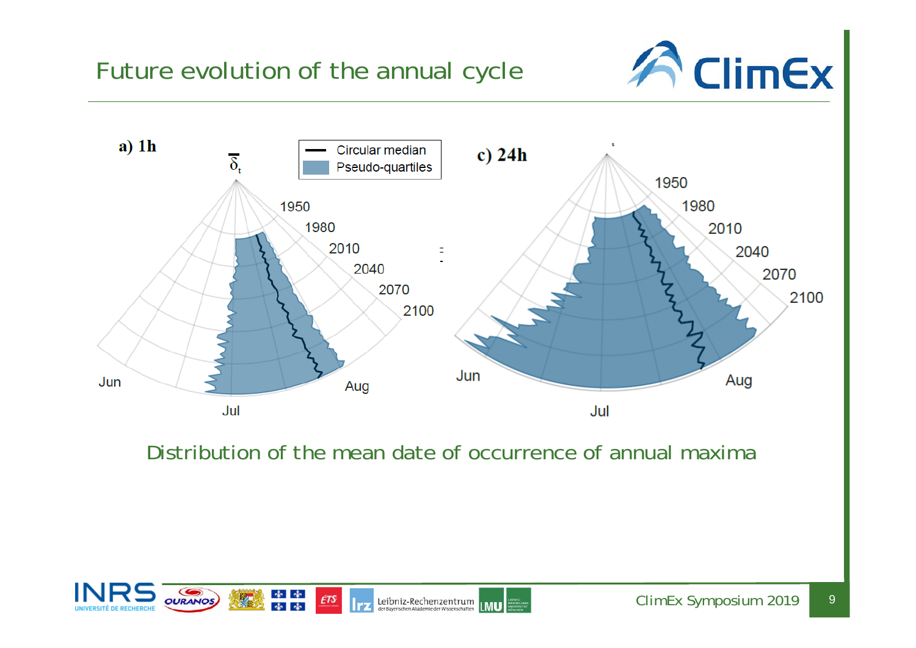



Distribution of the mean date of occurrence of annual maxima